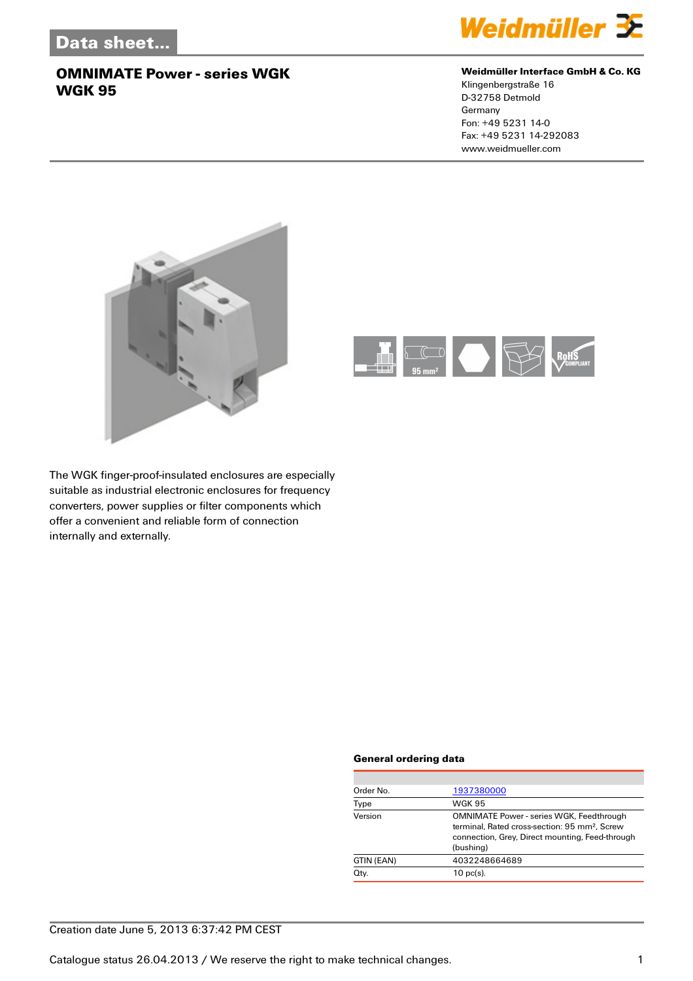

#### **Weidmüller Interface GmbH & Co. KG**

Klingenbergstraße 16 D-32758 Detmold Germany Fon: +49 5231 14-0 Fax: +49 5231 14-292083 www.weidmueller.com





The WGK finger-proof-insulated enclosures are especially suitable as industrial electronic enclosures for frequency converters, power supplies or filter components which offer a convenient and reliable form of connection internally and externally.

#### **General ordering data**

| Order No.  | 1937380000                                                                                                                                                                   |
|------------|------------------------------------------------------------------------------------------------------------------------------------------------------------------------------|
| Type       | <b>WGK 95</b>                                                                                                                                                                |
| Version    | <b>OMNIMATE Power - series WGK, Feedthrough</b><br>terminal. Rated cross-section: 95 mm <sup>2</sup> . Screw<br>connection, Grey, Direct mounting, Feed-through<br>(bushing) |
| GTIN (EAN) | 4032248664689                                                                                                                                                                |
| Qty.       | $10$ pc(s).                                                                                                                                                                  |
|            |                                                                                                                                                                              |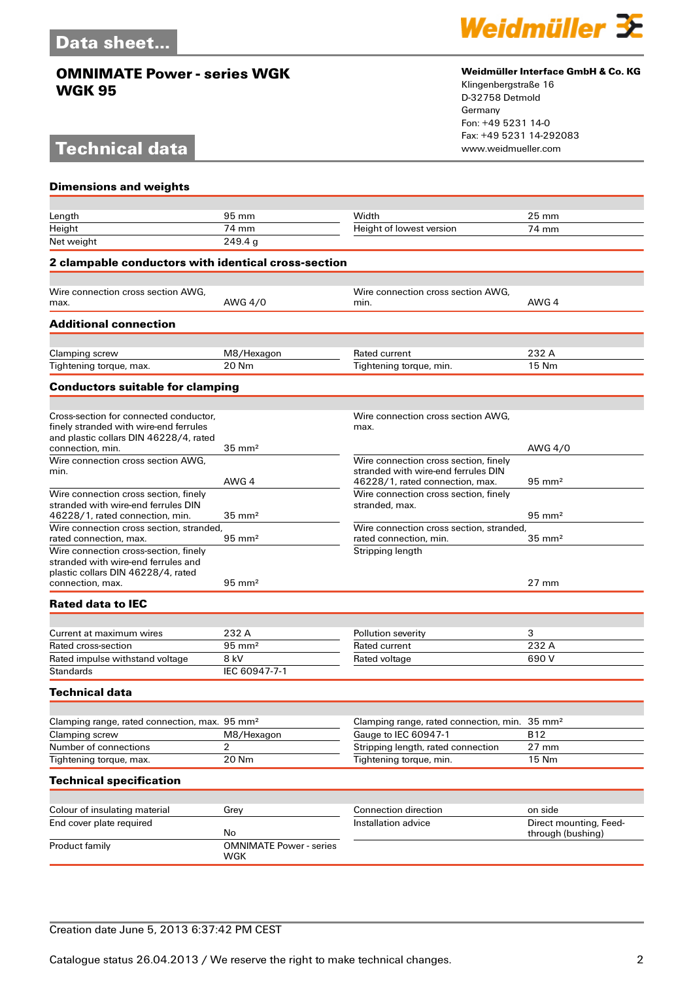# **Technical data**



#### **Weidmüller Interface GmbH & Co. KG**

Klingenbergstraße 16 D-32758 Detmold Germany Fon: +49 5231 14-0 Fax: +49 5231 14-292083

| <b>Dimensions and weights</b>                                                    |                                      |                                                                    |                        |  |  |
|----------------------------------------------------------------------------------|--------------------------------------|--------------------------------------------------------------------|------------------------|--|--|
|                                                                                  |                                      |                                                                    |                        |  |  |
| Length                                                                           | 95 mm                                | Width                                                              | $25 \, \text{mm}$      |  |  |
| Height                                                                           | 74 mm                                | Height of lowest version                                           | 74 mm                  |  |  |
| Net weight                                                                       | 249.4 <sub>g</sub>                   |                                                                    |                        |  |  |
| <b>2 clampable conductors with identical cross-section</b>                       |                                      |                                                                    |                        |  |  |
|                                                                                  |                                      |                                                                    |                        |  |  |
| Wire connection cross section AWG,<br>max.                                       | AWG 4/0                              | Wire connection cross section AWG.<br>min.                         | AWG 4                  |  |  |
| <b>Additional connection</b>                                                     |                                      |                                                                    |                        |  |  |
|                                                                                  |                                      |                                                                    |                        |  |  |
| Clamping screw                                                                   | M8/Hexagon                           | Rated current                                                      | 232 A                  |  |  |
| Tightening torque, max.                                                          | 20 Nm                                | Tightening torque, min.                                            | 15 Nm                  |  |  |
| <b>Conductors suitable for clamping</b>                                          |                                      |                                                                    |                        |  |  |
|                                                                                  |                                      |                                                                    |                        |  |  |
| Cross-section for connected conductor.<br>finely stranded with wire-end ferrules |                                      | Wire connection cross section AWG.<br>max.                         |                        |  |  |
| and plastic collars DIN 46228/4, rated                                           |                                      |                                                                    |                        |  |  |
| connection, min.<br>Wire connection cross section AWG,                           | $35 \text{ mm}^2$                    | Wire connection cross section, finely                              | AWG 4/0                |  |  |
| min.                                                                             |                                      | stranded with wire-end ferrules DIN                                |                        |  |  |
|                                                                                  | AWG 4                                | 46228/1, rated connection, max.                                    | $95 \text{ mm}^2$      |  |  |
| Wire connection cross section, finely                                            |                                      | Wire connection cross section, finely                              |                        |  |  |
| stranded with wire-end ferrules DIN                                              |                                      | stranded, max.                                                     |                        |  |  |
| 46228/1, rated connection, min.                                                  | $35 \text{ mm}^2$                    |                                                                    | $95 \text{ mm}^2$      |  |  |
| Wire connection cross section, stranded,<br>rated connection, max.               | $95 \text{ mm}^2$                    | Wire connection cross section, stranded,<br>rated connection, min. | $35 \text{ mm}^2$      |  |  |
| Wire connection cross-section, finely                                            |                                      | Stripping length                                                   |                        |  |  |
| stranded with wire-end ferrules and                                              |                                      |                                                                    |                        |  |  |
| plastic collars DIN 46228/4, rated                                               | $95 \text{ mm}^2$                    |                                                                    | $27 \text{ mm}$        |  |  |
| connection, max.                                                                 |                                      |                                                                    |                        |  |  |
| <b>Rated data to IEC</b>                                                         |                                      |                                                                    |                        |  |  |
|                                                                                  |                                      |                                                                    |                        |  |  |
| Current at maximum wires                                                         | 232 A                                | Pollution severity                                                 | 3<br>232 A             |  |  |
| Rated cross-section<br>Rated impulse withstand voltage                           | $95 \text{ mm}^2$<br>8 kV            | Rated current                                                      | 690 V                  |  |  |
| Standards                                                                        | IEC 60947-7-1                        | Rated voltage                                                      |                        |  |  |
|                                                                                  |                                      |                                                                    |                        |  |  |
| <b>Technical data</b>                                                            |                                      |                                                                    |                        |  |  |
| Clamping range, rated connection, max. 95 mm <sup>2</sup>                        |                                      | Clamping range, rated connection, min.                             | $35 \text{ mm}^2$      |  |  |
| Clamping screw                                                                   | M8/Hexagon                           | Gauge to IEC 60947-1                                               | <b>B12</b>             |  |  |
| Number of connections                                                            | 2                                    | Stripping length, rated connection                                 | 27 mm                  |  |  |
| Tightening torque, max.                                                          | 20 Nm                                | Tightening torque, min.                                            | 15 Nm                  |  |  |
| <b>Technical specification</b>                                                   |                                      |                                                                    |                        |  |  |
|                                                                                  |                                      |                                                                    |                        |  |  |
| Colour of insulating material                                                    | Grey                                 | Connection direction                                               | on side                |  |  |
| End cover plate required                                                         |                                      | Installation advice                                                | Direct mounting, Feed- |  |  |
| Product family                                                                   | No<br><b>OMNIMATE Power - series</b> |                                                                    | through (bushing)      |  |  |
|                                                                                  | WGK                                  |                                                                    |                        |  |  |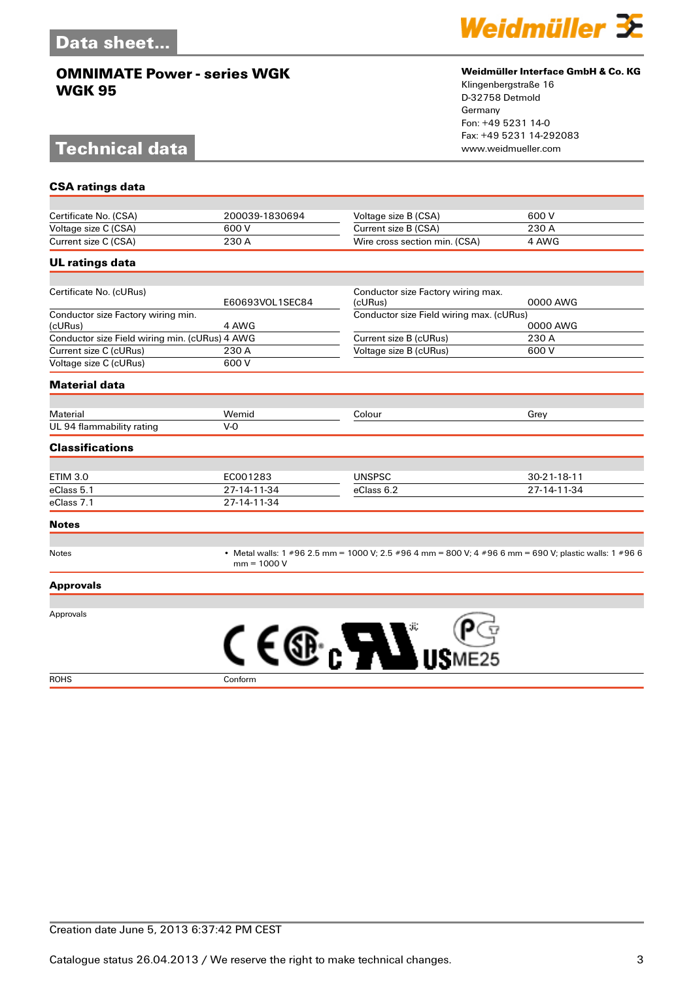# **Technical data**



#### **Weidmüller Interface GmbH & Co. KG**

Klingenbergstraße 16 D-32758 Detmold Germany Fon: +49 5231 14-0 Fax: +49 5231 14-292083

| <b>CSA ratings data</b>                        |                 |                                                                                                                         |             |  |
|------------------------------------------------|-----------------|-------------------------------------------------------------------------------------------------------------------------|-------------|--|
|                                                |                 |                                                                                                                         |             |  |
| Certificate No. (CSA)                          | 200039-1830694  | Voltage size B (CSA)                                                                                                    | 600V        |  |
| Voltage size C (CSA)                           | 600 V           | Current size B (CSA)                                                                                                    | 230 A       |  |
| Current size C (CSA)                           | 230 A           | Wire cross section min. (CSA)                                                                                           | 4 AWG       |  |
| <b>UL ratings data</b>                         |                 |                                                                                                                         |             |  |
|                                                |                 |                                                                                                                         |             |  |
| Certificate No. (cURus)                        | E60693VOL1SEC84 | Conductor size Factory wiring max.<br>(cURus)                                                                           | 0000 AWG    |  |
| Conductor size Factory wiring min.<br>(cURus)  | 4 AWG           | Conductor size Field wiring max. (cURus)<br>0000 AWG                                                                    |             |  |
| Conductor size Field wiring min. (cURus) 4 AWG |                 | Current size B (cURus)                                                                                                  | 230 A       |  |
| Current size C (cURus)                         | 230 A           | Voltage size B (cURus)                                                                                                  | 600 V       |  |
| Voltage size C (cURus)                         | 600 V           |                                                                                                                         |             |  |
| <b>Material data</b>                           |                 |                                                                                                                         |             |  |
| Material                                       | Wemid           | Colour                                                                                                                  |             |  |
| UL 94 flammability rating                      | $V-0$           |                                                                                                                         | Grey        |  |
| <b>Classifications</b>                         |                 |                                                                                                                         |             |  |
|                                                |                 |                                                                                                                         |             |  |
| <b>ETIM 3.0</b>                                | EC001283        | <b>UNSPSC</b>                                                                                                           | 30-21-18-11 |  |
| eClass 5.1                                     | 27-14-11-34     | eClass 6.2                                                                                                              | 27-14-11-34 |  |
| eClass 7.1                                     | 27-14-11-34     |                                                                                                                         |             |  |
| <b>Notes</b>                                   |                 |                                                                                                                         |             |  |
| <b>Notes</b>                                   |                 | • Metal walls: 1 #96 2.5 mm = 1000 V; 2.5 #96 4 mm = 800 V; 4 #96 6 mm = 690 V; plastic walls: 1 #96 6<br>$mm = 1000 V$ |             |  |
| <b>Approvals</b>                               |                 |                                                                                                                         |             |  |
|                                                |                 |                                                                                                                         |             |  |
| Approvals                                      |                 |                                                                                                                         |             |  |
|                                                |                 |                                                                                                                         |             |  |
|                                                | ( 6             |                                                                                                                         |             |  |
|                                                |                 |                                                                                                                         |             |  |
|                                                |                 |                                                                                                                         |             |  |

ROHS Conform